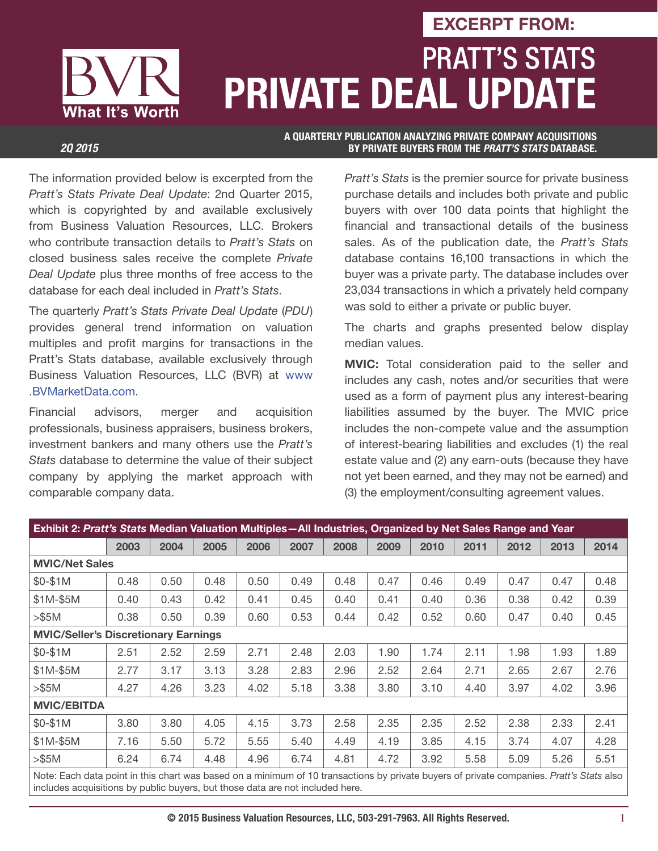# PRATT'S STATS **PRIVATE DEAL UPDATE EXCERPT FROM:**

What It's Worth

**A QUARTERLY PUBLICATION ANALYZING PRIVATE COMPANY ACQUISITIONS**  *2Q 2015* **BY PRIVATE BUYERS FROM THE** *PRATT'S STATS* **DATABASE.**

The information provided below is excerpted from the Pratt's Stats Private Deal Update: 2nd Quarter 2015, which is copyrighted by and available exclusively from Business Valuation Resources, LLC. Brokers who contribute transaction details to Pratt's Stats on closed business sales receive the complete Private Deal Update plus three months of free access to the database for each deal included in Pratt's Stats.

The quarterly Pratt's Stats Private Deal Update (PDU) provides general trend information on valuation multiples and profit margins for transactions in the Pratt's Stats database, available exclusively through Business Valuation Resources, LLC (BVR) at www .BVMarketData.com.

Financial advisors, merger and acquisition professionals, business appraisers, business brokers, investment bankers and many others use the Pratt's Stats database to determine the value of their subject company by applying the market approach with comparable company data.

Pratt's Stats is the premier source for private business purchase details and includes both private and public buyers with over 100 data points that highlight the financial and transactional details of the business sales. As of the publication date, the Pratt's Stats database contains 16,100 transactions in which the buyer was a private party. The database includes over 23,034 transactions in which a privately held company was sold to either a private or public buyer.

The charts and graphs presented below display median values.

**MVIC:** Total consideration paid to the seller and includes any cash, notes and/or securities that were used as a form of payment plus any interest-bearing liabilities assumed by the buyer. The MVIC price includes the non-compete value and the assumption of interest-bearing liabilities and excludes (1) the real estate value and (2) any earn-outs (because they have not yet been earned, and they may not be earned) and (3) the employment/consulting agreement values.

| Exhibit 2: Pratt's Stats Median Valuation Multiples - All Industries, Organized by Net Sales Range and Year                                                                                                               |      |      |      |      |      |      |      |      |      |      |      |      |
|---------------------------------------------------------------------------------------------------------------------------------------------------------------------------------------------------------------------------|------|------|------|------|------|------|------|------|------|------|------|------|
|                                                                                                                                                                                                                           | 2003 | 2004 | 2005 | 2006 | 2007 | 2008 | 2009 | 2010 | 2011 | 2012 | 2013 | 2014 |
| <b>MVIC/Net Sales</b>                                                                                                                                                                                                     |      |      |      |      |      |      |      |      |      |      |      |      |
| \$0-\$1M                                                                                                                                                                                                                  | 0.48 | 0.50 | 0.48 | 0.50 | 0.49 | 0.48 | 0.47 | 0.46 | 0.49 | 0.47 | 0.47 | 0.48 |
| $$1M-$5M$                                                                                                                                                                                                                 | 0.40 | 0.43 | 0.42 | 0.41 | 0.45 | 0.40 | 0.41 | 0.40 | 0.36 | 0.38 | 0.42 | 0.39 |
| > \$5M                                                                                                                                                                                                                    | 0.38 | 0.50 | 0.39 | 0.60 | 0.53 | 0.44 | 0.42 | 0.52 | 0.60 | 0.47 | 0.40 | 0.45 |
| <b>MVIC/Seller's Discretionary Earnings</b>                                                                                                                                                                               |      |      |      |      |      |      |      |      |      |      |      |      |
| $$0-$1M$                                                                                                                                                                                                                  | 2.51 | 2.52 | 2.59 | 2.71 | 2.48 | 2.03 | 1.90 | 1.74 | 2.11 | 1.98 | 1.93 | 1.89 |
| $$1M-$5M$                                                                                                                                                                                                                 | 2.77 | 3.17 | 3.13 | 3.28 | 2.83 | 2.96 | 2.52 | 2.64 | 2.71 | 2.65 | 2.67 | 2.76 |
| > \$5M                                                                                                                                                                                                                    | 4.27 | 4.26 | 3.23 | 4.02 | 5.18 | 3.38 | 3.80 | 3.10 | 4.40 | 3.97 | 4.02 | 3.96 |
| <b>MVIC/EBITDA</b>                                                                                                                                                                                                        |      |      |      |      |      |      |      |      |      |      |      |      |
| \$0-\$1M                                                                                                                                                                                                                  | 3.80 | 3.80 | 4.05 | 4.15 | 3.73 | 2.58 | 2.35 | 2.35 | 2.52 | 2.38 | 2.33 | 2.41 |
| $$1M-$5M$                                                                                                                                                                                                                 | 7.16 | 5.50 | 5.72 | 5.55 | 5.40 | 4.49 | 4.19 | 3.85 | 4.15 | 3.74 | 4.07 | 4.28 |
| > \$5M                                                                                                                                                                                                                    | 6.24 | 6.74 | 4.48 | 4.96 | 6.74 | 4.81 | 4.72 | 3.92 | 5.58 | 5.09 | 5.26 | 5.51 |
| Note: Each data point in this chart was based on a minimum of 10 transactions by private buyers of private companies. Pratt's Stats also<br>includes acquisitions by public buvers, but those data are not included here. |      |      |      |      |      |      |      |      |      |      |      |      |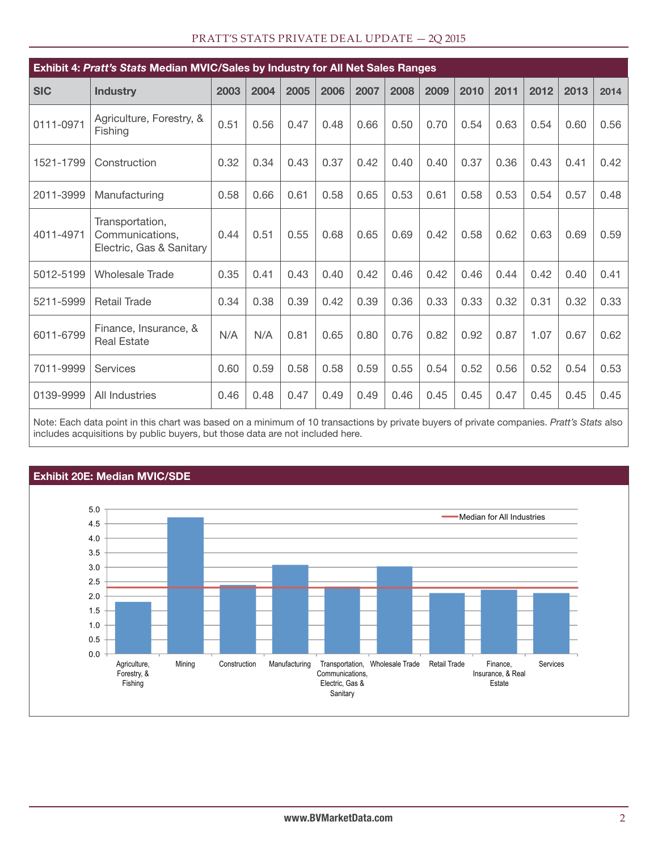|  |  | PRATT'S STATS PRIVATE DEAL UPDATE - 2Q 2015 |
|--|--|---------------------------------------------|
|--|--|---------------------------------------------|

| Exhibit 4: Pratt's Stats Median MVIC/Sales by Industry for All Net Sales Ranges |                                                                |      |      |      |      |      |      |      |      |      |      |      |      |
|---------------------------------------------------------------------------------|----------------------------------------------------------------|------|------|------|------|------|------|------|------|------|------|------|------|
| <b>SIC</b>                                                                      | <b>Industry</b>                                                | 2003 | 2004 | 2005 | 2006 | 2007 | 2008 | 2009 | 2010 | 2011 | 2012 | 2013 | 2014 |
| 0111-0971                                                                       | Agriculture, Forestry, &<br>Fishing                            | 0.51 | 0.56 | 0.47 | 0.48 | 0.66 | 0.50 | 0.70 | 0.54 | 0.63 | 0.54 | 0.60 | 0.56 |
| 1521-1799                                                                       | Construction                                                   | 0.32 | 0.34 | 0.43 | 0.37 | 0.42 | 0.40 | 0.40 | 0.37 | 0.36 | 0.43 | 0.41 | 0.42 |
| 2011-3999                                                                       | Manufacturing                                                  | 0.58 | 0.66 | 0.61 | 0.58 | 0.65 | 0.53 | 0.61 | 0.58 | 0.53 | 0.54 | 0.57 | 0.48 |
| 4011-4971                                                                       | Transportation,<br>Communications,<br>Electric, Gas & Sanitary | 0.44 | 0.51 | 0.55 | 0.68 | 0.65 | 0.69 | 0.42 | 0.58 | 0.62 | 0.63 | 0.69 | 0.59 |
| 5012-5199                                                                       | <b>Wholesale Trade</b>                                         | 0.35 | 0.41 | 0.43 | 0.40 | 0.42 | 0.46 | 0.42 | 0.46 | 0.44 | 0.42 | 0.40 | 0.41 |
| 5211-5999                                                                       | <b>Retail Trade</b>                                            | 0.34 | 0.38 | 0.39 | 0.42 | 0.39 | 0.36 | 0.33 | 0.33 | 0.32 | 0.31 | 0.32 | 0.33 |
| 6011-6799                                                                       | Finance, Insurance, &<br><b>Real Estate</b>                    | N/A  | N/A  | 0.81 | 0.65 | 0.80 | 0.76 | 0.82 | 0.92 | 0.87 | 1.07 | 0.67 | 0.62 |
| 7011-9999                                                                       | Services                                                       | 0.60 | 0.59 | 0.58 | 0.58 | 0.59 | 0.55 | 0.54 | 0.52 | 0.56 | 0.52 | 0.54 | 0.53 |
| 0139-9999                                                                       | <b>All Industries</b>                                          | 0.46 | 0.48 | 0.47 | 0.49 | 0.49 | 0.46 | 0.45 | 0.45 | 0.47 | 0.45 | 0.45 | 0.45 |

Note: Each data point in this chart was based on a minimum of 10 transactions by private buyers of private companies. Pratt's Stats also includes acquisitions by public buyers, but those data are not included here.



#### **www.BVMarketData.com** 2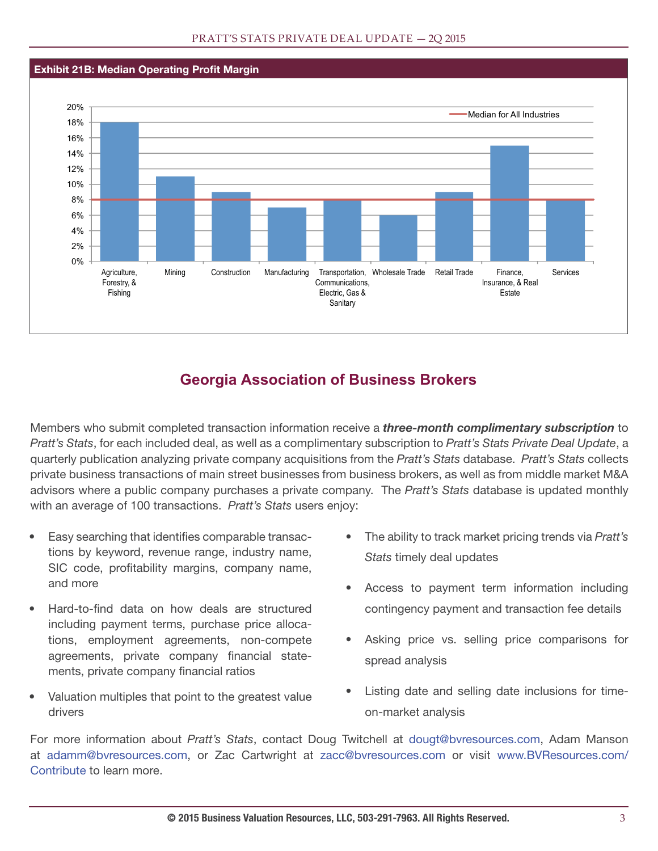#### **Exhibit 21B: Median Operating Profit Margin**



### **Georgia Association of Business Brokers**

Members who submit completed transaction information receive a *three-month complimentary subscription* to Pratt's Stats, for each included deal, as well as a complimentary subscription to Pratt's Stats Private Deal Update, a quarterly publication analyzing private company acquisitions from the Pratt's Stats database. Pratt's Stats collects private business transactions of main street businesses from business brokers, as well as from middle market M&A advisors where a public company purchases a private company. The Pratt's Stats database is updated monthly with an average of 100 transactions. Pratt's Stats users enjoy:

- Easy searching that identifies comparable transactions by keyword, revenue range, industry name, SIC code, profitability margins, company name, and more
- Hard-to-find data on how deals are structured including payment terms, purchase price allocations, employment agreements, non-compete agreements, private company financial statements, private company financial ratios
- Valuation multiples that point to the greatest value drivers
- The ability to track market pricing trends via Pratt's Stats timely deal updates
- Access to payment term information including contingency payment and transaction fee details
- Asking price vs. selling price comparisons for spread analysis
- Listing date and selling date inclusions for timeon-market analysis

For more information about Pratt's Stats, contact Doug Twitchell at dougt@bvresources.com, Adam Manson at adamm@bvresources.com, or Zac Cartwright at zacc@bvresources.com or visit www.BVResources.com/ Contribute to learn more.